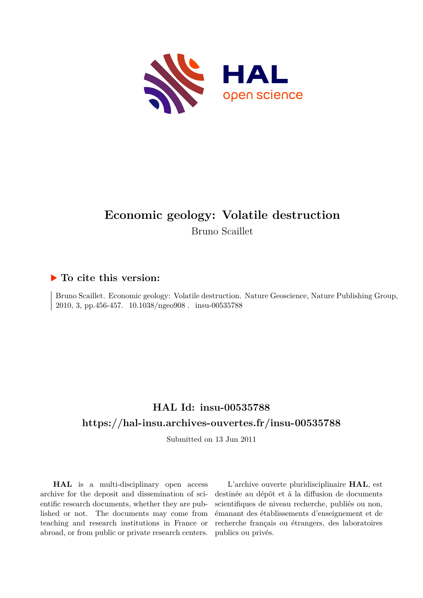

# **Economic geology: Volatile destruction**

Bruno Scaillet

### **To cite this version:**

Bruno Scaillet. Economic geology: Volatile destruction. Nature Geoscience, Nature Publishing Group, 2010, 3, pp.456-457. 10.1038/ngeo908. insu-00535788

### **HAL Id: insu-00535788 <https://hal-insu.archives-ouvertes.fr/insu-00535788>**

Submitted on 13 Jun 2011

**HAL** is a multi-disciplinary open access archive for the deposit and dissemination of scientific research documents, whether they are published or not. The documents may come from teaching and research institutions in France or abroad, or from public or private research centers.

L'archive ouverte pluridisciplinaire **HAL**, est destinée au dépôt et à la diffusion de documents scientifiques de niveau recherche, publiés ou non, émanant des établissements d'enseignement et de recherche français ou étrangers, des laboratoires publics ou privés.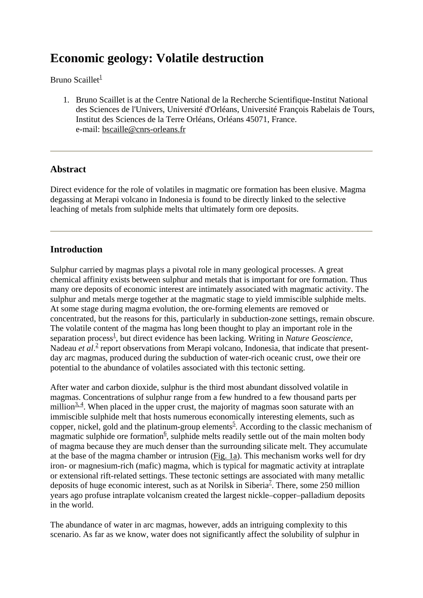## **Economic geology: Volatile destruction**

Bruno Scaillet $\frac{1}{2}$ 

1. Bruno Scaillet is at the Centre National de la Recherche Scientifique-Institut National des Sciences de l'Univers, Université d'Orléans, Université François Rabelais de Tours, Institut des Sciences de la Terre Orléans, Orléans 45071, France. e-mail: bscaille@cnrs-orleans.fr

### **Abstract**

Direct evidence for the role of volatiles in magmatic ore formation has been elusive. Magma degassing at Merapi volcano in Indonesia is found to be directly linked to the selective leaching of metals from sulphide melts that ultimately form ore deposits.

### **Introduction**

Sulphur carried by magmas plays a pivotal role in many geological processes. A great chemical affinity exists between sulphur and metals that is important for ore formation. Thus many ore deposits of economic interest are intimately associated with magmatic activity. The sulphur and metals merge together at the magmatic stage to yield immiscible sulphide melts. At some stage during magma evolution, the ore-forming elements are removed or concentrated, but the reasons for this, particularly in subduction-zone settings, remain obscure. The volatile content of the magma has long been thought to play an important role in the separation process<sup>1</sup>, but direct evidence has been lacking. Writing in *Nature Geoscience*, Nadeau et al.<sup>2</sup> report observations from Merapi volcano, Indonesia, that indicate that presentday arc magmas, produced during the subduction of water-rich oceanic crust, owe their ore potential to the abundance of volatiles associated with this tectonic setting.

After water and carbon dioxide, sulphur is the third most abundant dissolved volatile in magmas. Concentrations of sulphur range from a few hundred to a few thousand parts per million $\frac{3, 4}{3}$ . When placed in the upper crust, the majority of magmas soon saturate with an immiscible sulphide melt that hosts numerous economically interesting elements, such as copper, nickel, gold and the platinum-group elements<sup>5</sup>. According to the classic mechanism of magmatic sulphide ore formation<sup>6</sup>, sulphide melts readily settle out of the main molten body of magma because they are much denser than the surrounding silicate melt. They accumulate at the base of the magma chamber or intrusion (Fig. 1a). This mechanism works well for dry iron- or magnesium-rich (mafic) magma, which is typical for magmatic activity at intraplate or extensional rift-related settings. These tectonic settings are associated with many metallic deposits of huge economic interest, such as at Norilsk in Siberia<sup>2</sup>. There, some 250 million years ago profuse intraplate volcanism created the largest nickle–copper–palladium deposits in the world.

The abundance of water in arc magmas, however, adds an intriguing complexity to this scenario. As far as we know, water does not significantly affect the solubility of sulphur in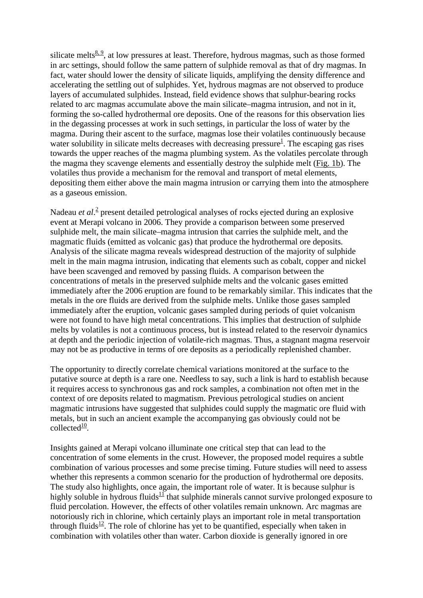silicate melts $\frac{8, 9}{8}$ , at low pressures at least. Therefore, hydrous magmas, such as those formed in arc settings, should follow the same pattern of sulphide removal as that of dry magmas. In fact, water should lower the density of silicate liquids, amplifying the density difference and accelerating the settling out of sulphides. Yet, hydrous magmas are not observed to produce layers of accumulated sulphides. Instead, field evidence shows that sulphur-bearing rocks related to arc magmas accumulate above the main silicate–magma intrusion, and not in it, forming the so-called hydrothermal ore deposits. One of the reasons for this observation lies in the degassing processes at work in such settings, in particular the loss of water by the magma. During their ascent to the surface, magmas lose their volatiles continuously because water solubility in silicate melts decreases with decreasing pressure<sup>1</sup>. The escaping gas rises towards the upper reaches of the magma plumbing system. As the volatiles percolate through the magma they scavenge elements and essentially destroy the sulphide melt (Fig. 1b). The volatiles thus provide a mechanism for the removal and transport of metal elements, depositing them either above the main magma intrusion or carrying them into the atmosphere as a gaseous emission.

Nadeau *et al*.<sup>2</sup> present detailed petrological analyses of rocks ejected during an explosive event at Merapi volcano in 2006. They provide a comparison between some preserved sulphide melt, the main silicate–magma intrusion that carries the sulphide melt, and the magmatic fluids (emitted as volcanic gas) that produce the hydrothermal ore deposits. Analysis of the silicate magma reveals widespread destruction of the majority of sulphide melt in the main magma intrusion, indicating that elements such as cobalt, copper and nickel have been scavenged and removed by passing fluids. A comparison between the concentrations of metals in the preserved sulphide melts and the volcanic gases emitted immediately after the 2006 eruption are found to be remarkably similar. This indicates that the metals in the ore fluids are derived from the sulphide melts. Unlike those gases sampled immediately after the eruption, volcanic gases sampled during periods of quiet volcanism were not found to have high metal concentrations. This implies that destruction of sulphide melts by volatiles is not a continuous process, but is instead related to the reservoir dynamics at depth and the periodic injection of volatile-rich magmas. Thus, a stagnant magma reservoir may not be as productive in terms of ore deposits as a periodically replenished chamber.

The opportunity to directly correlate chemical variations monitored at the surface to the putative source at depth is a rare one. Needless to say, such a link is hard to establish because it requires access to synchronous gas and rock samples, a combination not often met in the context of ore deposits related to magmatism. Previous petrological studies on ancient magmatic intrusions have suggested that sulphides could supply the magmatic ore fluid with metals, but in such an ancient example the accompanying gas obviously could not be collected $10$ .

Insights gained at Merapi volcano illuminate one critical step that can lead to the concentration of some elements in the crust. However, the proposed model requires a subtle combination of various processes and some precise timing. Future studies will need to assess whether this represents a common scenario for the production of hydrothermal ore deposits. The study also highlights, once again, the important role of water. It is because sulphur is highly soluble in hydrous fluids<sup>11</sup> that sulphide minerals cannot survive prolonged exposure to fluid percolation. However, the effects of other volatiles remain unknown. Arc magmas are notoriously rich in chlorine, which certainly plays an important role in metal transportation through fluids<sup>12</sup>. The role of chlorine has yet to be quantified, especially when taken in combination with volatiles other than water. Carbon dioxide is generally ignored in ore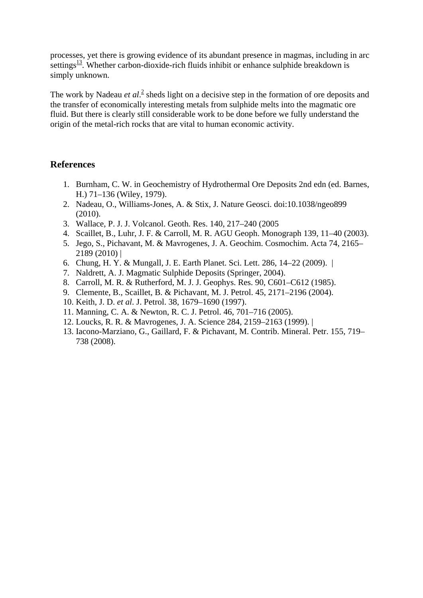processes, yet there is growing evidence of its abundant presence in magmas, including in arc settings $\frac{13}{12}$ . Whether carbon-dioxide-rich fluids inhibit or enhance sulphide breakdown is simply unknown.

The work by Nadeau *et al*.<sup>2</sup> sheds light on a decisive step in the formation of ore deposits and the transfer of economically interesting metals from sulphide melts into the magmatic ore fluid. But there is clearly still considerable work to be done before we fully understand the origin of the metal-rich rocks that are vital to human economic activity.

### **References**

- 1. Burnham, C. W. in Geochemistry of Hydrothermal Ore Deposits 2nd edn (ed. Barnes, H.) 71–136 (Wiley, 1979).
- 2. Nadeau, O., Williams-Jones, A. & Stix, J. Nature Geosci. doi:10.1038/ngeo899 (2010).
- 3. Wallace, P. J. J. Volcanol. Geoth. Res. 140, 217–240 (2005
- 4. Scaillet, B., Luhr, J. F. & Carroll, M. R. AGU Geoph. Monograph 139, 11–40 (2003).
- 5. Jego, S., Pichavant, M. & Mavrogenes, J. A. Geochim. Cosmochim. Acta 74, 2165– 2189 (2010) |
- 6. Chung, H. Y. & Mungall, J. E. Earth Planet. Sci. Lett. 286, 14–22 (2009). |
- 7. Naldrett, A. J. Magmatic Sulphide Deposits (Springer, 2004).
- 8. Carroll, M. R. & Rutherford, M. J. J. Geophys. Res. 90, C601–C612 (1985).
- 9. Clemente, B., Scaillet, B. & Pichavant, M. J. Petrol. 45, 2171–2196 (2004).
- 10. Keith, J. D. *et al*. J. Petrol. 38, 1679–1690 (1997).
- 11. Manning, C. A. & Newton, R. C. J. Petrol. 46, 701–716 (2005).
- 12. Loucks, R. R. & Mavrogenes, J. A. Science 284, 2159–2163 (1999). |
- 13. Iacono-Marziano, G., Gaillard, F. & Pichavant, M. Contrib. Mineral. Petr. 155, 719– 738 (2008).